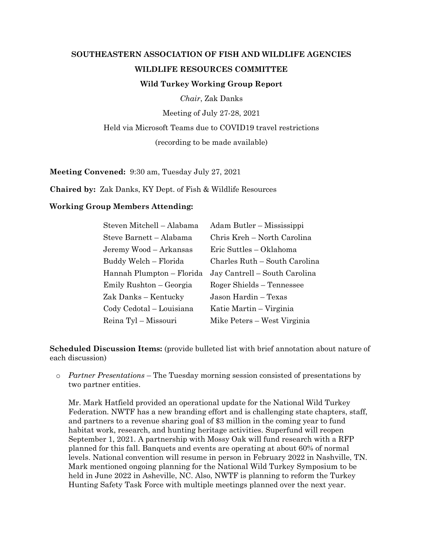## **SOUTHEASTERN ASSOCIATION OF FISH AND WILDLIFE AGENCIES WILDLIFE RESOURCES COMMITTEE Wild Turkey Working Group Report**

*Chair*, Zak Danks

Meeting of July 27-28, 2021

Held via Microsoft Teams due to COVID19 travel restrictions

(recording to be made available)

**Meeting Convened:** 9:30 am, Tuesday July 27, 2021

**Chaired by:** Zak Danks, KY Dept. of Fish & Wildlife Resources

## **Working Group Members Attending:**

| Steven Mitchell - Alabama | Adam Butler – Mississippi     |
|---------------------------|-------------------------------|
| Steve Barnett - Alabama   | Chris Kreh – North Carolina   |
| Jeremy Wood – Arkansas    | Eric Suttles - Oklahoma       |
| Buddy Welch - Florida     | Charles Ruth - South Carolina |
| Hannah Plumpton – Florida | Jay Cantrell – South Carolina |
| Emily Rushton – Georgia   | Roger Shields – Tennessee     |
| Zak Danks – Kentucky      | Jason Hardin - Texas          |
| Cody Cedotal - Louisiana  | Katie Martin – Virginia       |
| Reina Tyl - Missouri      | Mike Peters – West Virginia   |

**Scheduled Discussion Items:** (provide bulleted list with brief annotation about nature of each discussion)

o *Partner Presentations* – The Tuesday morning session consisted of presentations by two partner entities.

Mr. Mark Hatfield provided an operational update for the National Wild Turkey Federation. NWTF has a new branding effort and is challenging state chapters, staff, and partners to a revenue sharing goal of \$3 million in the coming year to fund habitat work, research, and hunting heritage activities. Superfund will reopen September 1, 2021. A partnership with Mossy Oak will fund research with a RFP planned for this fall. Banquets and events are operating at about 60% of normal levels. National convention will resume in person in February 2022 in Nashville, TN. Mark mentioned ongoing planning for the National Wild Turkey Symposium to be held in June 2022 in Asheville, NC. Also, NWTF is planning to reform the Turkey Hunting Safety Task Force with multiple meetings planned over the next year.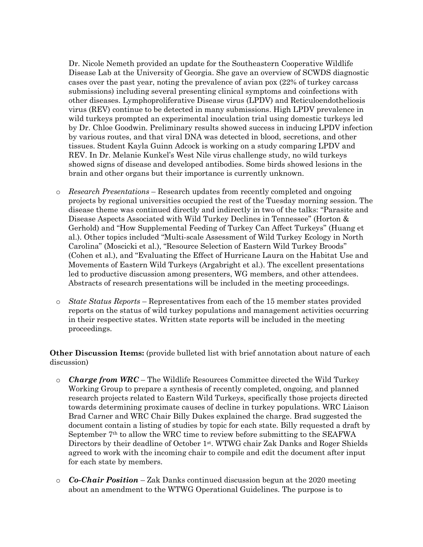Dr. Nicole Nemeth provided an update for the Southeastern Cooperative Wildlife Disease Lab at the University of Georgia. She gave an overview of SCWDS diagnostic cases over the past year, noting the prevalence of avian pox (22% of turkey carcass submissions) including several presenting clinical symptoms and coinfections with other diseases. Lymphoproliferative Disease virus (LPDV) and Reticuloendotheliosis virus (REV) continue to be detected in many submissions. High LPDV prevalence in wild turkeys prompted an experimental inoculation trial using domestic turkeys led by Dr. Chloe Goodwin. Preliminary results showed success in inducing LPDV infection by various routes, and that viral DNA was detected in blood, secretions, and other tissues. Student Kayla Guinn Adcock is working on a study comparing LPDV and REV. In Dr. Melanie Kunkel's West Nile virus challenge study, no wild turkeys showed signs of disease and developed antibodies. Some birds showed lesions in the brain and other organs but their importance is currently unknown.

- o *Research Presentations* Research updates from recently completed and ongoing projects by regional universities occupied the rest of the Tuesday morning session. The disease theme was continued directly and indirectly in two of the talks: "Parasite and Disease Aspects Associated with Wild Turkey Declines in Tennessee" (Horton & Gerhold) and "How Supplemental Feeding of Turkey Can Affect Turkeys" (Huang et al.). Other topics included "Multi-scale Assessment of Wild Turkey Ecology in North Carolina" (Moscicki et al.), "Resource Selection of Eastern Wild Turkey Broods" (Cohen et al.), and "Evaluating the Effect of Hurricane Laura on the Habitat Use and Movements of Eastern Wild Turkeys (Argabright et al.). The excellent presentations led to productive discussion among presenters, WG members, and other attendees. Abstracts of research presentations will be included in the meeting proceedings.
- o *State Status Reports*  Representatives from each of the 15 member states provided reports on the status of wild turkey populations and management activities occurring in their respective states. Written state reports will be included in the meeting proceedings.

**Other Discussion Items:** (provide bulleted list with brief annotation about nature of each discussion)

- o *Charge from WRC* The Wildlife Resources Committee directed the Wild Turkey Working Group to prepare a synthesis of recently completed, ongoing, and planned research projects related to Eastern Wild Turkeys, specifically those projects directed towards determining proximate causes of decline in turkey populations. WRC Liaison Brad Carner and WRC Chair Billy Dukes explained the charge. Brad suggested the document contain a listing of studies by topic for each state. Billy requested a draft by September 7th to allow the WRC time to review before submitting to the SEAFWA Directors by their deadline of October 1<sup>st</sup>. WTWG chair Zak Danks and Roger Shields agreed to work with the incoming chair to compile and edit the document after input for each state by members.
- o *Co-Chair Position* Zak Danks continued discussion begun at the 2020 meeting about an amendment to the WTWG Operational Guidelines. The purpose is to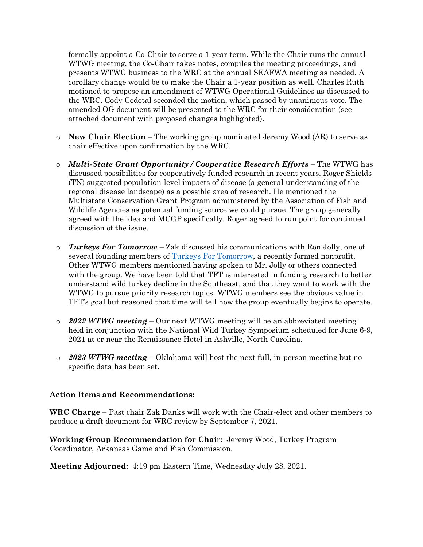formally appoint a Co-Chair to serve a 1-year term. While the Chair runs the annual WTWG meeting, the Co-Chair takes notes, compiles the meeting proceedings, and presents WTWG business to the WRC at the annual SEAFWA meeting as needed. A corollary change would be to make the Chair a 1-year position as well. Charles Ruth motioned to propose an amendment of WTWG Operational Guidelines as discussed to the WRC. Cody Cedotal seconded the motion, which passed by unanimous vote. The amended OG document will be presented to the WRC for their consideration (see attached document with proposed changes highlighted).

- o **New Chair Election**  The working group nominated Jeremy Wood (AR) to serve as chair effective upon confirmation by the WRC.
- o *Multi-State Grant Opportunity / Cooperative Research Efforts* The WTWG has discussed possibilities for cooperatively funded research in recent years. Roger Shields (TN) suggested population-level impacts of disease (a general understanding of the regional disease landscape) as a possible area of research. He mentioned the Multistate Conservation Grant Program administered by the Association of Fish and Wildlife Agencies as potential funding source we could pursue. The group generally agreed with the idea and MCGP specifically. Roger agreed to run point for continued discussion of the issue.
- o *Turkeys For Tomorrow* Zak discussed his communications with Ron Jolly, one of several founding members of [Turkeys For Tomorrow,](https://urldefense.com/v3/__https:/www.turkeysfortomorrow.org/__;!!Db6frn15oIvDD3UI!2zjlVd7rS4Ax0iDjt-Yn5xNiSDIYE53F1I0gLlrPYv4pde4JvuAAgX_ce37r4cAZ$) a recently formed nonprofit. Other WTWG members mentioned having spoken to Mr. Jolly or others connected with the group. We have been told that TFT is interested in funding research to better understand wild turkey decline in the Southeast, and that they want to work with the WTWG to pursue priority research topics. WTWG members see the obvious value in TFT's goal but reasoned that time will tell how the group eventually begins to operate.
- o *2022 WTWG meeting* Our next WTWG meeting will be an abbreviated meeting held in conjunction with the National Wild Turkey Symposium scheduled for June 6-9, 2021 at or near the Renaissance Hotel in Ashville, North Carolina.
- o *2023 WTWG meeting* Oklahoma will host the next full, in-person meeting but no specific data has been set.

## **Action Items and Recommendations:**

**WRC Charge** – Past chair Zak Danks will work with the Chair-elect and other members to produce a draft document for WRC review by September 7, 2021.

**Working Group Recommendation for Chai**r**:** Jeremy Wood, Turkey Program Coordinator, Arkansas Game and Fish Commission.

**Meeting Adjourned:** 4:19 pm Eastern Time, Wednesday July 28, 2021.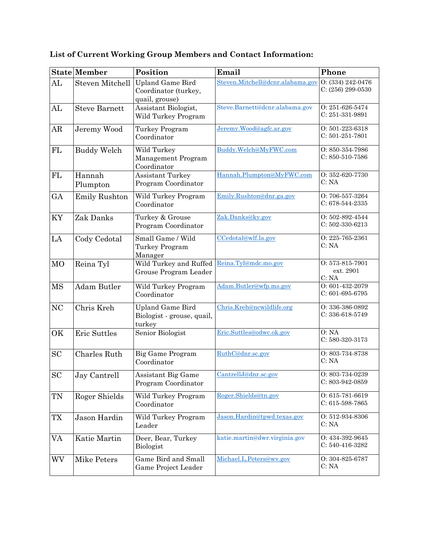|                     | <b>State Member</b>    | Position                                                          | Email                            | Phone                                    |
|---------------------|------------------------|-------------------------------------------------------------------|----------------------------------|------------------------------------------|
| AL                  | <b>Steven Mitchell</b> | <b>Upland Game Bird</b><br>Coordinator (turkey,<br>quail, grouse) | Steven.Mitchell@dcnr.alabama.gov | 0: (334) 242-0476<br>$C: (256) 299-0530$ |
| AL                  | <b>Steve Barnett</b>   | Assistant Biologist,<br>Wild Turkey Program                       | Steve.Barnett@dcnr.alabama.gov   | 0:251-626-5474<br>C: 251-331-9891        |
| AR                  | Jeremy Wood            | Turkey Program<br>Coordinator                                     | Jeremy.Wood@agfc.ar.gov          | 0:501-223-6318<br>$C: 501-251-7801$      |
| ${\rm FL}$          | <b>Buddy Welch</b>     | Wild Turkey<br>Management Program<br>Coordinator                  | Buddy.Welch@MyFWC.com            | 0:850-354-7986<br>$C: 850-510-7586$      |
| FL                  | Hannah<br>Plumpton     | <b>Assistant Turkey</b><br>Program Coordinator                    | Hannah.Plumpton@MyFWC.com        | 0:352-620-7730<br>C: NA                  |
| GA                  | <b>Emily Rushton</b>   | Wild Turkey Program<br>Coordinator                                | Emily.Rushton@dnr.ga.gov         | O: 706-557-3264<br>$C: 678-544-2335$     |
| KY                  | Zak Danks              | Turkey & Grouse<br>Program Coordinator                            | Zak.Danks@ky.gov                 | 0: 502-892-4544<br>$C: 502-330-6213$     |
| LA                  | Cody Cedotal           | Small Game / Wild<br>Turkey Program<br>Manager                    | CCedotal@wlf.la.gov              | 0: 225-765-2361<br>C: NA                 |
| <b>MO</b>           | Reina Tyl              | Wild Turkey and Ruffed<br>Grouse Program Leader                   | Reina.Tyl@mdc.mo.gov             | 0:573-815-7901<br>ext. 2901<br>C: NA     |
| <b>MS</b>           | <b>Adam Butler</b>     | Wild Turkey Program<br>Coordinator                                | Adam.Butler@wfp.ms.gov           | 0:601-432-2079<br>$C: 601-695-6795$      |
| <b>NC</b>           | Chris Kreh             | <b>Upland Game Bird</b><br>Biologist - grouse, quail,<br>turkey   | Chris.Kreh@ncwildlife.org        | 0:336-386-0892<br>$C: 336-618-5749$      |
| OK                  | <b>Eric Suttles</b>    | Senior Biologist                                                  | Eric.Suttles@odwc.ok.gov         | O: NA<br>C: 580-320-3173                 |
| SC                  | Charles Ruth           | Big Game Program<br>Coordinator                                   | RuthC@dnr.sc.gov                 | 0:803-734-8738<br>C: NA                  |
| $\operatorname{SC}$ | Jay Cantrell           | Assistant Big Game<br>Program Coordinator                         | CantrellJ@dnr.sc.gov             | O: 803-734-0239<br>C: 803-942-0859       |
| TN                  | Roger Shields          | Wild Turkey Program<br>Coordinator                                | Roger.Shields@tn.gov             | $O: 615-781-6619$<br>$C: 615-598-7865$   |
| TX                  | Jason Hardin           | Wild Turkey Program<br>Leader                                     | Jason.Hardin@tpwd.texas.gov      | 0: 512-934-8306<br>C: NA                 |
| VA                  | Katie Martin           | Deer, Bear, Turkey<br>Biologist                                   | katie.martin@dwr.virginia.gov    | 0: 434-392-9645<br>C: 540-416-3282       |
| WV                  | Mike Peters            | Game Bird and Small<br>Game Project Leader                        | Michael.L.Peters@wv.gov          | O: 304-825-6787<br>C: NA                 |

**List of Current Working Group Members and Contact Information:**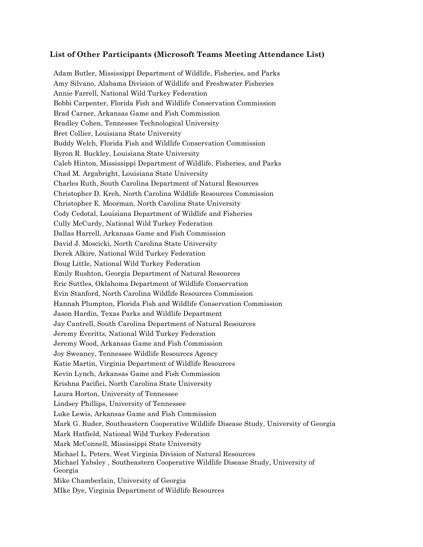## **List of Other Participants (Microsoft Teams Meeting Attendance List)**

Adam Butler, Mississippi Department of Wildlife, Fisheries, and Parks Amy Silvano, Alabama Division of Wildlife and Freshwater Fisheries Annie Farrell, National Wild Turkey Federation Bobbi Carpenter, Florida Fish and Wildlife Conservation Commission Brad Carner, Arkansas Game and Fish Commission Bradley Cohen, Tennessee Technological University Bret Collier, Louisiana State University Buddy Welch, Florida Fish and Wildlife Conservation Commission Byron R. Buckley, Louisiana State University Caleb Hinton, Mississippi Department of Wildlife, Fisheries, and Parks Chad M. Argabright, Louisiana State University Charles Ruth, South Carolina Department of Natural Resources Christopher D. Kreh, North Carolina Wildlife Resources Commission Christopher E. Moorman, North Carolina State University Cody Cedotal, Louisiana Department of Wildlife and Fisheries Cully McCurdy, National Wild Turkey Federation Dallas Harrell, Arkansas Game and Fish Commission David J. Moscicki, North Carolina State University Derek Alkire, National Wild Turkey Federation Doug Little, National Wild Turkey Federation Emily Rushton, Georgia Department of Natural Resources Eric Suttles, Oklahoma Department of Wildlife Conservation Evin Stanford, North Carolina Wildlife Resources Commission Hannah Plumpton, Florida Fish and Wildlife Conservation Commission Jason Hardin, Texas Parks and Wildlife Department Jay Cantrell, South Carolina Department of Natural Resources Jeremy Everitts, National Wild Turkey Federation Jeremy Wood, Arkansas Game and Fish Commission Joy Sweaney, Tennessee Wildlife Resources Agency Katie Martin, Virginia Department of Wildlife Resources Kevin Lynch, Arkansas Game and Fish Commission Krishna Pacifici, North Carolina State University Laura Horton, University of Tennessee Lindsey Phillips, University of Tennessee Luke Lewis, Arkansas Game and Fish Commission Mark G. Ruder, Southeastern Cooperative Wildlife Disease Study, University of Georgia Mark Hatfield, National Wild Turkey Federation Mark McConnell, Mississippi State University Michael L. Peters, West Virginia Division of Natural Resources Michael Yabsley , Southeastern Cooperative Wildlife Disease Study, University of Georgia Mike Chamberlain, University of Georgia MIke Dye, Virginia Department of Wildlife Resources